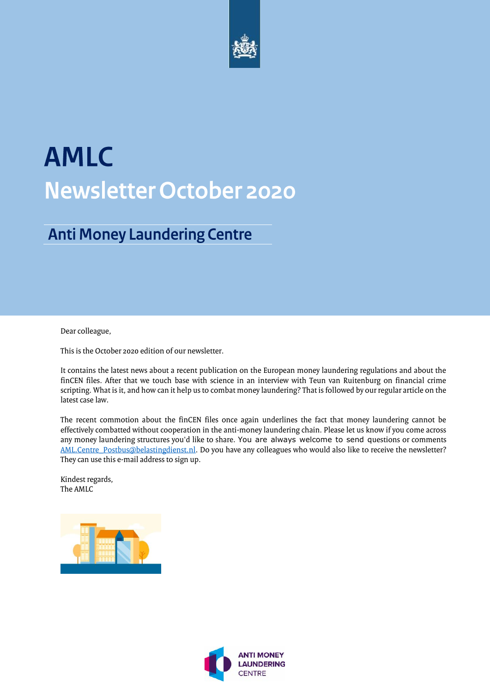

# **AMLC Newsletter October 2020**

### **Anti Money Laundering Centre**

Dear colleague,

This is the October 2020 edition of our newsletter.

It contains the latest news about a recent publication on the European money laundering regulations and about the finCEN files. After that we touch base with science in an interview with Teun van Ruitenburg on financial crime scripting. What is it, and how can it help us to combat money laundering? That is followed by our regular article on the latest case law.

The recent commotion about the finCEN files once again underlines the fact that money laundering cannot be effectively combatted without cooperation in the anti-money laundering chain. Please let us know if you come across any money laundering structures you'd like to share. You are always welcome to send questions or comments [AML.Centre\\_Postbus@belastingdienst.nl.](mailto:AML.Centre_Postbus@belastingdienst.nl) Do you have any colleagues who would also like to receive the newsletter? They can use this e-mail address to sign up.

Kindest regards, The AMLC



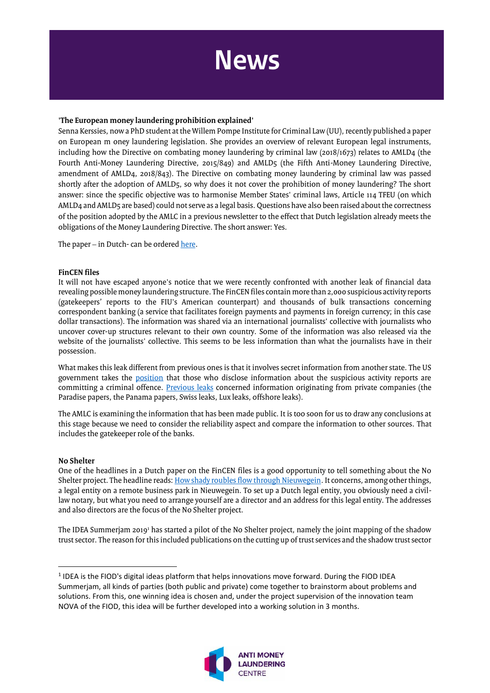

#### **'The European money laundering prohibition explained'**

Senna Kerssies, now a PhD student at the Willem Pompe Institute for Criminal Law (UU), recently published a paper on European m oney laundering legislation. She provides an overview of relevant European legal instruments, including how the Directive on combating money laundering by criminal law (2018/1673) relates to AMLD4 (the Fourth Anti-Money Laundering Directive, 2015/849) and AMLD5 (the Fifth Anti-Money Laundering Directive, amendment of AMLD4, 2018/843). The Directive on combating money laundering by criminal law was passed shortly after the adoption of AMLD5, so why does it not cover the prohibition of money laundering? The short answer: since the specific objective was to harmonise Member States' criminal laws, Article 114 TFEU (on which AMLD4 and AMLD5 are based) could not serve as a legal basis. Questions have also been raised about the correctness of the position adopted by the AMLC in a previous newsletter to the effect that Dutch legislation already meets the obligations of the Money Laundering Directive. The short answer: Yes.

The paper – in Dutch- can be ordere[d here.](https://www.wolfpublishers.eu/europese-witwasverbod)

#### **FinCEN files**

It will not have escaped anyone's notice that we were recently confronted with another leak of financial data revealing possible money laundering structure. The FinCEN files contain more than 2,000 suspicious activity reports (gatekeepers' reports to the FIU's American counterpart) and thousands of bulk transactions concerning correspondent banking (a service that facilitates foreign payments and payments in foreign currency; in this case dollar transactions). The information was shared via an international journalists' collective with journalists who uncover cover-up structures relevant to their own country. Some of the information was also released via the website of the journalists' collective. This seems to be less information than what the journalists have in their possession.

What makes this leak different from previous ones is that it involves secret information from another state. The US government takes the [position](https://www.fincen.gov/news/news-releases/statement-fincen-regarding-unlawfully-disclosed-suspicious-activity-reports) that those who disclose information about the suspicious activity reports are committing a criminal offence. [Previous leaks](https://www.bbc.com/news/business-41877932) concerned information originating from private companies (the Paradise papers, the Panama papers, Swiss leaks, Lux leaks, offshore leaks).

The AMLC is examining the information that has been made public. It is too soon for us to draw any conclusions at this stage because we need to consider the reliability aspect and compare the information to other sources. That includes the gatekeeper role of the banks.

#### **No Shelter**

l

One of the headlines in a Dutch paper on the FinCEN files is a good opportunity to tell something about the No Shelter project. The headline reads[: How shady roubles flow through Nieuwegein.](https://www.trouw.nl/economie/hoe-schimmige-roebels-door-nieuwegein-vloeien~b40f6e45/?referrer=https%3A%2F%2Fwww.google.nl%2Furl%3Fsa%3Dt%26rct%3Dj%26q%3D%26esrc%3Ds%26source%3Dweb%26cd%3D%26ved%3D2ahUKEwjvmb_Ww6LsAhVDCuwKHTEPCPQQFjAAegQICBAC%26url%3Dhttps%253A%252F%252Fwww.trouw.nl%252Feconomie%252Fhoe-schimmige-roebels-door-nieuwegein-vloeien%7Eb40f6e45%252F%26usg%3DAOvVaw3jQQMPz0krxgrgwnoMFcQZ) It concerns, among other things, a legal entity on a remote business park in Nieuwegein. To set up a Dutch legal entity, you obviously need a civillaw notary, but what you need to arrange yourself are a director and an address for this legal entity. The addresses and also directors are the focus of the No Shelter project.

The IDEA Summerjam 2019<sup>1</sup> has started a pilot of the No Shelter project, namely the joint mapping of the shadow trust sector. The reason for this included publications on the cutting up of trust services and the shadow trust sector

 $<sup>1</sup>$  IDEA is the FIOD's digital ideas platform that helps innovations move forward. During the FIOD IDEA</sup> Summerjam, all kinds of parties (both public and private) come together to brainstorm about problems and solutions. From this, one winning idea is chosen and, under the project supervision of the innovation team NOVA of the FIOD, this idea will be further developed into a working solution in 3 months.

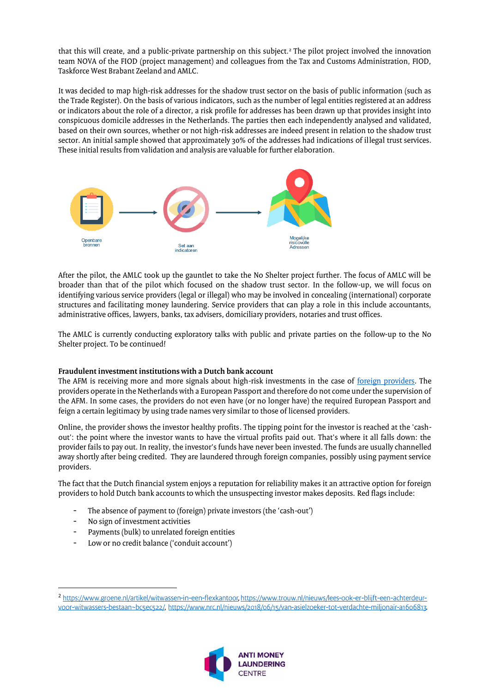that this will create, and a public-private partnership on this subject.<sup>2</sup> The pilot project involved the innovation team NOVA of the FIOD (project management) and colleagues from the Tax and Customs Administration, FIOD, Taskforce West Brabant Zeeland and AMLC.

It was decided to map high-risk addresses for the shadow trust sector on the basis of public information (such as the Trade Register). On the basis of various indicators, such as the number of legal entities registered at an address or indicators about the role of a director, a risk profile for addresses has been drawn up that provides insight into conspicuous domicile addresses in the Netherlands. The parties then each independently analysed and validated, based on their own sources, whether or not high-risk addresses are indeed present in relation to the shadow trust sector. An initial sample showed that approximately 30% of the addresses had indications of illegal trust services. These initial results from validation and analysis are valuable for further elaboration.



After the pilot, the AMLC took up the gauntlet to take the No Shelter project further. The focus of AMLC will be broader than that of the pilot which focused on the shadow trust sector. In the follow-up, we will focus on identifying various service providers (legal or illegal) who may be involved in concealing (international) corporate structures and facilitating money laundering. Service providers that can play a role in this include accountants, administrative offices, lawyers, banks, tax advisers, domiciliary providers, notaries and trust offices.

The AMLC is currently conducting exploratory talks with public and private parties on the follow-up to the No Shelter project. To be continued!

#### **Fraudulent investment institutions with a Dutch bank account**

The AFM is receiving more and more signals about high-risk investments in the case of [foreign providers.](https://afm.nl/nl-nl/consumenten/nieuws/2020/okt/signalen-dubieuze-partijen-signalenmonitor-najaar-2020) The providers operate in the Netherlands with a European Passport and therefore do not come under the supervision of the AFM. In some cases, the providers do not even have (or no longer have) the required European Passport and feign a certain legitimacy by using trade names very similar to those of licensed providers.

Online, the provider shows the investor healthy profits. The tipping point for the investor is reached at the 'cashout': the point where the investor wants to have the virtual profits paid out. That's where it all falls down: the provider fails to pay out. In reality, the investor's funds have never been invested. The funds are usually channelled away shortly after being credited. They are laundered through foreign companies, possibly using payment service providers.

The fact that the Dutch financial system enjoys a reputation for reliability makes it an attractive option for foreign providers to hold Dutch bank accounts to which the unsuspecting investor makes deposits. Red flags include:

- The absence of payment to (foreign) private investors (the 'cash-out')
- No sign of investment activities

 $\overline{\phantom{a}}$ 

- Payments (bulk) to unrelated foreign entities
- Low or no credit balance ('conduit account')

<sup>&</sup>lt;sup>[2](https://www.groene.nl/artikel/witwassen-in-een-flexkantoor)</sup> https://www.groene.nl/artikel/witwassen-in-een-flexkantoor, https://www.trouw.nl/nieuws/lees-ook-er-blijft-een-achterdeurvoor-witwassers-bestaan~bcsecs22/, https://www.nrc.nl/nieuws/2018/06/15/van-asielzoeker-tot-verdachte-milionair-a1606813.

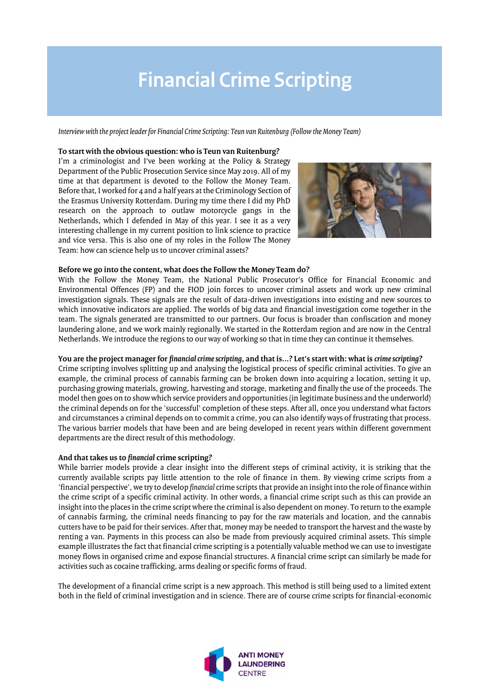## **Financial Crime Scripting**

*Interview with the project leader for Financial Crime Scripting: Teun van Ruitenburg (Follow the Money Team)*

#### **To start with the obvious question: who is Teun van Ruitenburg?**

I'm a criminologist and I've been working at the Policy & Strategy Department of the Public Prosecution Service since May 2019. All of my time at that department is devoted to the Follow the Money Team. Before that, I worked for 4 and a half years at the Criminology Section of the Erasmus University Rotterdam. During my time there I did my PhD research on the approach to outlaw motorcycle gangs in the Netherlands, which I defended in May of this year. I see it as a very interesting challenge in my current position to link science to practice and vice versa. This is also one of my roles in the Follow The Money Team: how can science help us to uncover criminal assets?



#### **Before we go into the content, what does the Follow the Money Team do?**

With the Follow the Money Team, the National Public Prosecutor's Office for Financial Economic and Environmental Offences (FP) and the FIOD join forces to uncover criminal assets and work up new criminal investigation signals. These signals are the result of data-driven investigations into existing and new sources to which innovative indicators are applied. The worlds of big data and financial investigation come together in the team. The signals generated are transmitted to our partners. Our focus is broader than confiscation and money laundering alone, and we work mainly regionally. We started in the Rotterdam region and are now in the Central Netherlands. We introduce the regions to our way of working so that in time they can continue it themselves.

#### **You are the project manager for** *financial crime scripting***, and that is...? Let's start with: what is** *crime scripting***?**

Crime scripting involves splitting up and analysing the logistical process of specific criminal activities. To give an example, the criminal process of cannabis farming can be broken down into acquiring a location, setting it up, purchasing growing materials, growing, harvesting and storage, marketing and finally the use of the proceeds. The model then goes on to show which service providers and opportunities (in legitimate business and the underworld) the criminal depends on for the 'successful' completion of these steps. After all, once you understand what factors and circumstances a criminal depends on to commit a crime, you can also identify ways of frustrating that process. The various barrier models that have been and are being developed in recent years within different government departments are the direct result of this methodology.

#### **And that takes us to** *financial* **crime scripting?**

While barrier models provide a clear insight into the different steps of criminal activity, it is striking that the currently available scripts pay little attention to the role of finance in them. By viewing crime scripts from a 'financial perspective', we try to develop *financial* crime scripts that provide an insight into the role of finance within the crime script of a specific criminal activity. In other words, a financial crime script such as this can provide an insight into the places in the crime script where the criminal is also dependent on money. To return to the example of cannabis farming, the criminal needs financing to pay for the raw materials and location, and the cannabis cutters have to be paid for their services. After that, money may be needed to transport the harvest and the waste by renting a van. Payments in this process can also be made from previously acquired criminal assets. This simple example illustrates the fact that financial crime scripting is a potentially valuable method we can use to investigate money flows in organised crime and expose financial structures. A financial crime script can similarly be made for activities such as cocaine trafficking, arms dealing or specific forms of fraud.

The development of a financial crime script is a new approach. This method is still being used to a limited extent both in the field of criminal investigation and in science. There are of course crime scripts for financial-economic

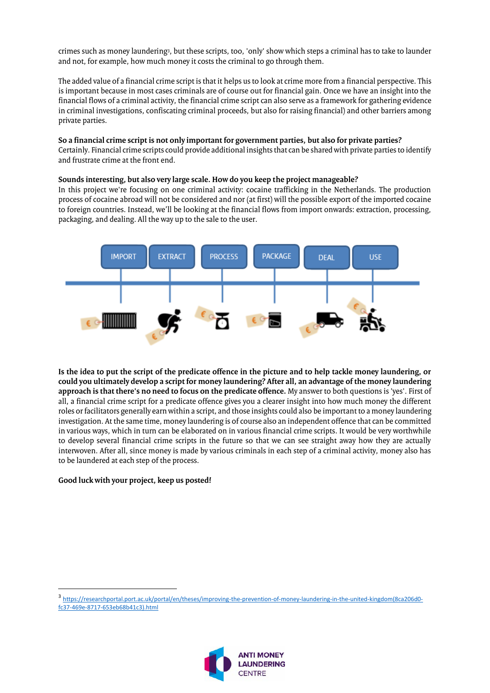crimes such as money laundering<sup>3</sup>, but these scripts, too, 'only' show which steps a criminal has to take to launder and not, for example, how much money it costs the criminal to go through them.

The added value of a financial crime script is that it helps us to look at crime more from a financial perspective. This is important because in most cases criminals are of course out for financial gain. Once we have an insight into the financial flows of a criminal activity, the financial crime script can also serve as a framework for gathering evidence in criminal investigations, confiscating criminal proceeds, but also for raising financial) and other barriers among private parties.

#### **So a financial crime script is not only important for government parties, but also for private parties?**

Certainly. Financial crime scripts could provide additional insights that can be shared with private parties to identify and frustrate crime at the front end.

#### **Sounds interesting, but also very large scale. How do you keep the project manageable?**

In this project we're focusing on one criminal activity: cocaine trafficking in the Netherlands. The production process of cocaine abroad will not be considered and nor (at first) will the possible export of the imported cocaine to foreign countries. Instead, we'll be looking at the financial flows from import onwards: extraction, processing, packaging, and dealing. All the way up to the sale to the user.



**Is the idea to put the script of the predicate offence in the picture and to help tackle money laundering, or could you ultimately develop a script for money laundering? After all, an advantage of the money laundering approach is that there's no need to focus on the predicate offence.** My answer to both questions is 'yes'. First of all, a financial crime script for a predicate offence gives you a clearer insight into how much money the different roles or facilitators generally earn within a script, and those insights could also be important to a money laundering investigation. At the same time, money laundering is of course also an independent offence that can be committed in various ways, which in turn can be elaborated on in various financial crime scripts. It would be very worthwhile to develop several financial crime scripts in the future so that we can see straight away how they are actually interwoven. After all, since money is made by various criminals in each step of a criminal activity, money also has to be laundered at each step of the process.

#### **Good luck with your project, keep us posted!**

 $\overline{a}$ 

<sup>3</sup> [https://researchportal.port.ac.uk/portal/en/theses/improving-the-prevention-of-money-laundering-in-the-united-kingdom\(8ca206d0](https://researchportal.port.ac.uk/portal/en/theses/improving-the-prevention-of-money-laundering-in-the-united-kingdom(8ca206d0-fc37-469e-8717-653eb68b41c3).html) [fc37-469e-8717-653eb68b41c3\).html](https://researchportal.port.ac.uk/portal/en/theses/improving-the-prevention-of-money-laundering-in-the-united-kingdom(8ca206d0-fc37-469e-8717-653eb68b41c3).html)

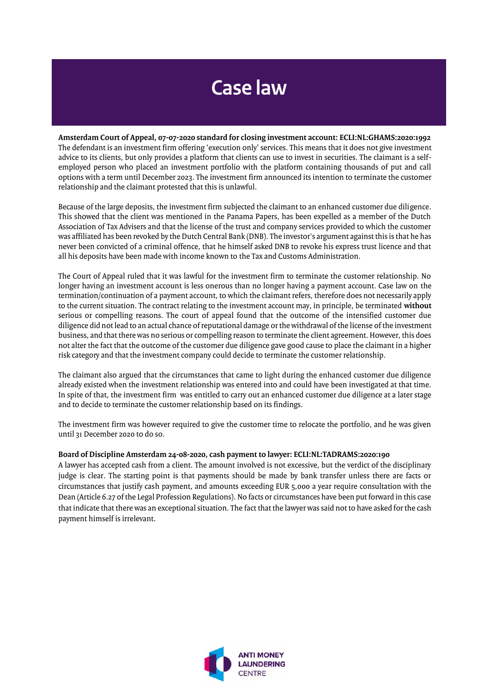## **Case law**

**Amsterdam Court of Appeal, 07-07-2020 standard for closing investment account[: ECLI:NL:GHAMS:2020:1992](https://uitspraken.rechtspraak.nl/inziendocument?id=ECLI:NL:GHAMS:2020:1992&showbutton=true&keyword=wwft)** The defendant is an investment firm offering 'execution only' services. This means that it does not give investment advice to its clients, but only provides a platform that clients can use to invest in securities. The claimant is a selfemployed person who placed an investment portfolio with the platform containing thousands of put and call options with a term until December 2023. The investment firm announced its intention to terminate the customer relationship and the claimant protested that this is unlawful.

Because of the large deposits, the investment firm subjected the claimant to an enhanced customer due diligence. This showed that the client was mentioned in the Panama Papers, has been expelled as a member of the Dutch Association of Tax Advisers and that the license of the trust and company services provided to which the customer was affiliated has been revoked by the Dutch Central Bank (DNB). The investor's argument against this is that he has never been convicted of a criminal offence, that he himself asked DNB to revoke his express trust licence and that all his deposits have been made with income known to the Tax and Customs Administration.

The Court of Appeal ruled that it was lawful for the investment firm to terminate the customer relationship. No longer having an investment account is less onerous than no longer having a payment account. Case law on the termination/continuation of a payment account, to which the claimant refers, therefore does not necessarily apply to the current situation. The contract relating to the investment account may, in principle, be terminated **without** serious or compelling reasons. The court of appeal found that the outcome of the intensified customer due diligence did not lead to an actual chance of reputational damage or the withdrawal of the license of the investment business, and that there was no serious or compelling reason to terminate the client agreement. However, this does not alter the fact that the outcome of the customer due diligence gave good cause to place the claimant in a higher risk category and that the investment company could decide to terminate the customer relationship.

The claimant also argued that the circumstances that came to light during the enhanced customer due diligence already existed when the investment relationship was entered into and could have been investigated at that time. In spite of that, the investment firm was entitled to carry out an enhanced customer due diligence at a later stage and to decide to terminate the customer relationship based on its findings.

The investment firm was however required to give the customer time to relocate the portfolio, and he was given until 31 December 2020 to do so.

#### **Board of Discipline Amsterdam 24-08-2020, cash payment to lawyer: ECLI:NL:TADRAMS:2020:190**

A lawyer has accepted cash from a client. The amount involved is not excessive, but the verdict of the disciplinary judge is clear. The starting point is that payments should be made by bank transfer unless there are facts or circumstances that justify cash payment, and amounts exceeding EUR 5,000 a year require consultation with the Dean (Article 6.27 of the Legal Profession Regulations). No facts or circumstances have been put forward in this case that indicate that there was an exceptional situation. The fact that the lawyer was said not to have asked for the cash payment himself is irrelevant.